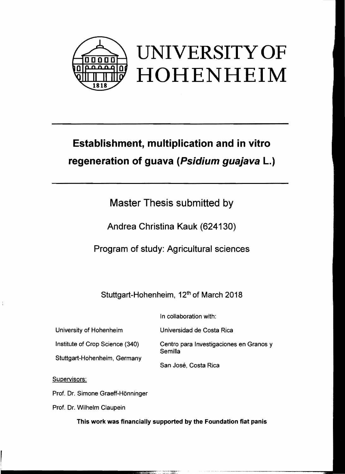

## UNIVERSITY OF HOHENHEIM

## **Establishment, multiplication and in vitro regeneration of guava (Psidium guajava L.)**

## Master Thesis submitted by

Andrea Christina Kauk (624130)

Program of study: Agricultural sciences

Stuttgart-Hohenheim, 12<sup>th</sup> of March 2018

In collaboration with:

University of Hohenheim Universidad de Costa Rica Institute of Crop Science (340) Centro para Investigaciones en Granos y Semilla Stuttgart-Hohenheim, Germany San Jose, Costa Rica

Supervisors:

Prof. Dr. Simone Graeff-Hönninger

Prof. Dr. Wilhelm Claupein

This work was financially supported by the Foundation fiat panis